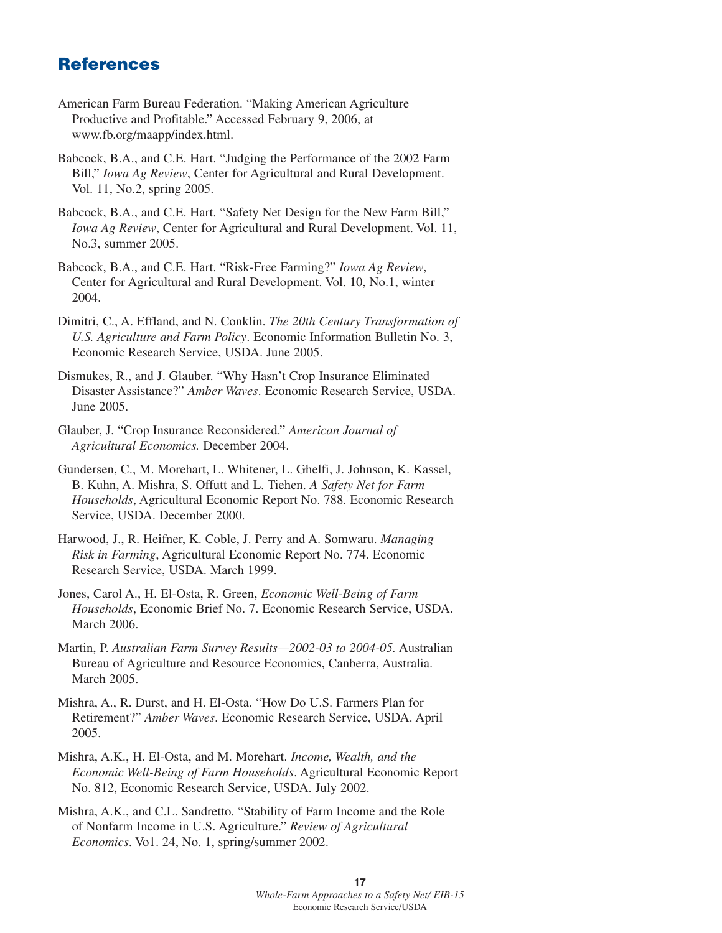## **References**

- American Farm Bureau Federation. "Making American Agriculture Productive and Profitable." Accessed February 9, 2006, at www.fb.org/maapp/index.html.
- Babcock, B.A., and C.E. Hart. "Judging the Performance of the 2002 Farm Bill," *Iowa Ag Review*, Center for Agricultural and Rural Development. Vol. 11, No.2, spring 2005.
- Babcock, B.A., and C.E. Hart. "Safety Net Design for the New Farm Bill," *Iowa Ag Review*, Center for Agricultural and Rural Development. Vol. 11, No.3, summer 2005.
- Babcock, B.A., and C.E. Hart. "Risk-Free Farming?" *Iowa Ag Review*, Center for Agricultural and Rural Development. Vol. 10, No.1, winter 2004.
- Dimitri, C., A. Effland, and N. Conklin. *The 20th Century Transformation of U.S. Agriculture and Farm Policy*. Economic Information Bulletin No. 3, Economic Research Service, USDA. June 2005.
- Dismukes, R., and J. Glauber. "Why Hasn't Crop Insurance Eliminated Disaster Assistance?" *Amber Waves*. Economic Research Service, USDA. June 2005.
- Glauber, J. "Crop Insurance Reconsidered." *American Journal of Agricultural Economics.* December 2004.
- Gundersen, C., M. Morehart, L. Whitener, L. Ghelfi, J. Johnson, K. Kassel, B. Kuhn, A. Mishra, S. Offutt and L. Tiehen. *A Safety Net for Farm Households*, Agricultural Economic Report No. 788. Economic Research Service, USDA. December 2000.
- Harwood, J., R. Heifner, K. Coble, J. Perry and A. Somwaru. *Managing Risk in Farming*, Agricultural Economic Report No. 774. Economic Research Service, USDA. March 1999.
- Jones, Carol A., H. El-Osta, R. Green, *Economic Well-Being of Farm Households*, Economic Brief No. 7. Economic Research Service, USDA. March 2006.
- Martin, P. *Australian Farm Survey Results—2002-03 to 2004-05.* Australian Bureau of Agriculture and Resource Economics, Canberra, Australia. March 2005.
- Mishra, A., R. Durst, and H. El-Osta. "How Do U.S. Farmers Plan for Retirement?" *Amber Waves*. Economic Research Service, USDA. April 2005.
- Mishra, A.K., H. El-Osta, and M. Morehart. *Income, Wealth, and the Economic Well-Being of Farm Households*. Agricultural Economic Report No. 812, Economic Research Service, USDA. July 2002.
- Mishra, A.K., and C.L. Sandretto. "Stability of Farm Income and the Role of Nonfarm Income in U.S. Agriculture." *Review of Agricultural Economics*. Vo1. 24, No. 1, spring/summer 2002.